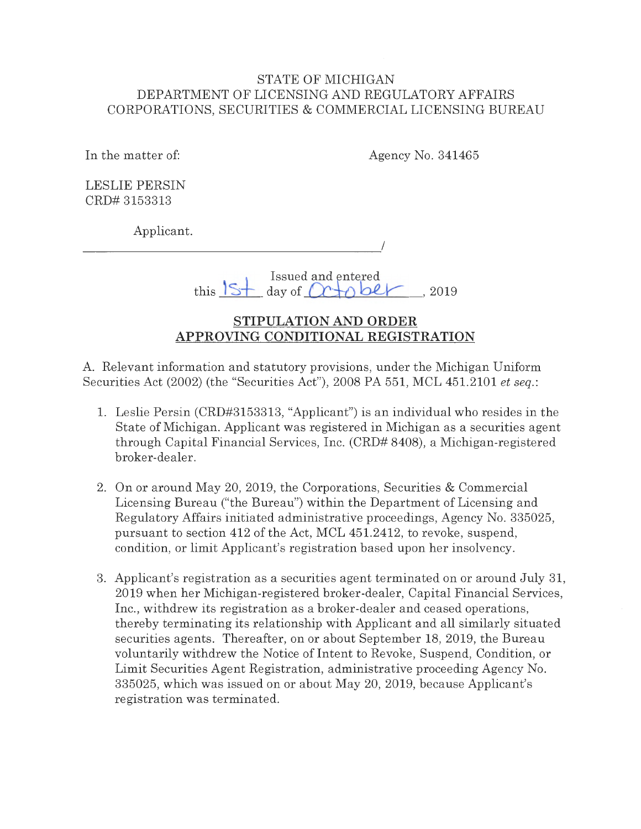### STATE OF MICHIGAN DEPARTMENT OF LICENSING AND REGULATORY AFFAIRS CORPORATIONS, SECURITIES & COMMERCIAL LICENSING BUREAU

In the matter of:

Agency No. 341465

LESLIE PERSIN CRD# 3153313

Applicant.

I

Issued and entered  $t$ his  $\frac{1}{5}$  day of  $\alpha + \alpha$  be  $\alpha$  . 2019

# **STIPULATION AND ORDER APPROVING CONDITIONAL REGISTRATION**

A. Relevant information and statutory provisions, under the Michigan Uniform Securities Act (2002) (the "Securities Act"), 2008 PA 551, MCL 451.2101 *et seq.:* 

- 1. Leslie Persin (CRD#3153313, "Applicant") is an individual who resides in the State of Michigan. Applicant was registered in Michigan as a securities agent through Capital Financial Services, Inc. (CRD# 8408), a Michigan-registered broker-dealer.
- 2. On or around May 20, 2019, the Corporations, Securities & Commercial Licensing Bureau ("the Bureau") within the Department of Licensing and Regulatory Affairs initiated administrative proceedings, Agency No. 335025, pursuant to section 412 of the Act, MCL 451.2412, to revoke, suspend, condition, or limit Applicant's registration based upon her insolvency.
- 3. Applicant's registration as a securities agent terminated on or around July 31, 2019 when her Michigan-registered broker-dealer, Capital Financial Services, Inc., withdrew its registration as a broker-dealer and ceased operations, thereby terminating its relationship with Applicant and all similarly situated securities agents. Thereafter, on or about September 18, 2019, the Bureau voluntarily withdrew the Notice of Intent to Revoke, Suspend, Condition, or Limit Securities Agent Registration, administrative proceeding Agency No. 335025, which was issued on or about May 20, 2019, because Applicant's registration was terminated.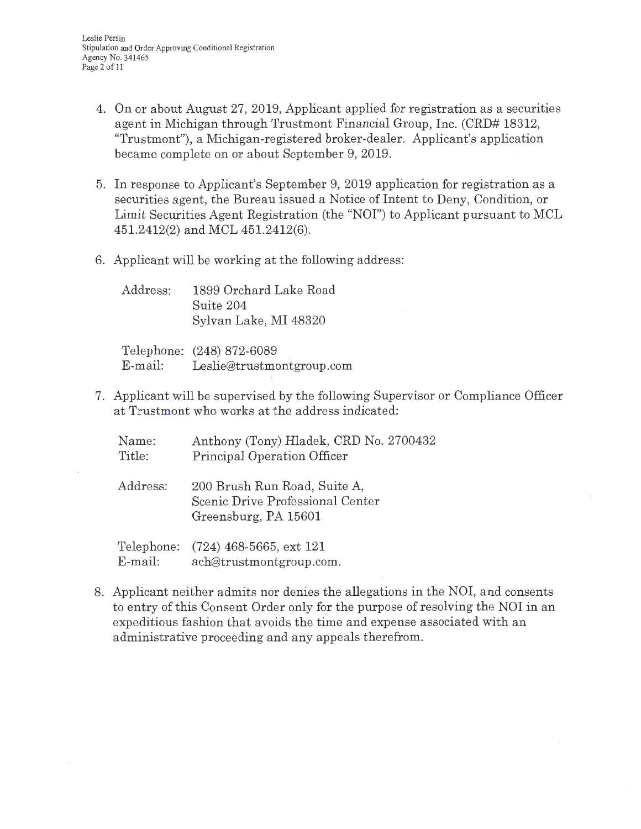- 4. On or about August 27, 2019, Applicant applied for registration as a securities agent in Michigan through Trustmont Financial Group, Inc. (CRD# 18312, "Trustmont"), a Michigan-registered broker-dealer. Applicant's application became complete on or about September 9, 2019.
- 5. In response to Applicant's September 9, 2019 application for registration as a securities agent, the Bureau issued a Notice of Intent to Deny, Condition, or Limit Securities Agent Registration (the "NOI") to Applicant pursuant to MCL 451.2412(2) and MCL 451.2412(6).
- 6. Applicant will be working at the following address:

Address: 1899 Orchard Lake Road Suite 204 Sylvan Lake, MI 48320

Telephone: (248) 872-6089 E-mail: Leslie@trustmontgroup.com

E-mail: ach@trustmontgroup.com.

7. Applicant will be supervised by the following Supervisor or Compliance Officer at Trustmont who works at the address indicated:

| Name:<br>Title: | Anthony (Tony) Hladek, CRD No. 2700432<br>Principal Operation Officer                    |
|-----------------|------------------------------------------------------------------------------------------|
| Address:        | 200 Brush Run Road, Suite A,<br>Scenic Drive Professional Center<br>Greensburg, PA 15601 |
|                 | Telephone: (724) 468-5665, ext 121                                                       |

8. Applicant neither admits nor denies the allegations in the NOI, and consents to entry of this Consent Order only for the purpose of resolving the NOI in an expeditious fashion that avoids the time and expense associated with an administrative proceeding and any appeals therefrom.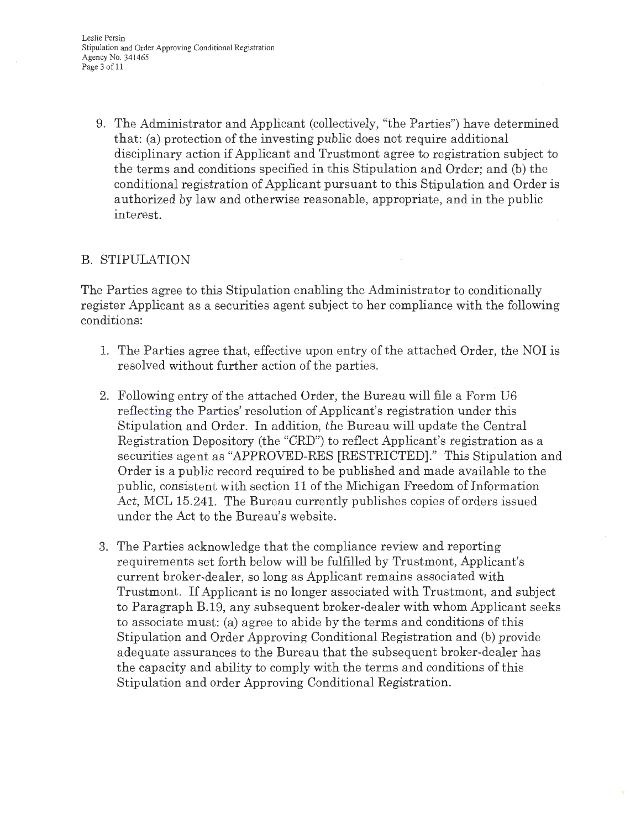Leslie Persin Stipulation and Order Approving Conditional Registration Agency No. 341465 Page 3 of 11

9. The Administrator and Applicant (collectively, "the Parties") have determined that: (a) protection of the investing public does not require additional disciplinary action if Applicant and Trustmont agree to registration subject to the terms and conditions specified in this Stipulation and Order; and (b) the conditional registration of Applicant pursuant to this Stipulation and Order is authorized by law and otherwise reasonable, appropriate, and in the public interest.

# B. STIPULATION

The Parties agree to this Stipulation enabling the Administrator to conditionally register Applicant as a securities agent subject to her compliance with the following conditions:

- 1. The Parties agree that, effective upon entry of the attached Order, the NOI is resolved without further action of the parties.
- 2. Following entry of the attached Order, the Bureau will file a Form U6 reflecting the Parties' resolution of Applicant's registration under this Stipulation and Order. In addition, the Bureau will update the Central Registration Depository (the "CRD") to reflect Applicant's registration as a securities agent as "APPROVED-RES [RESTRICTED]." This Stipulation and Order is a public record required to be published and made available to the public, consistent with section 11 of the Michigan Freedom of Information Act, MCL 15.241. The Bureau currently publishes copies of orders issued under the Act to the Bureau's website .
- 3. The Parties acknowledge that the compliance review and reporting requirements set forth below will be fulfilled by Trustmont, Applicant's current broker-dealer, so long as Applicant remains associated with Trustmont. If Applicant is no longer associated with Trustmont, and subject to Paragraph B.19, any subsequent broker-dealer with whom Applicant seeks to associate must: (a) agree to abide by the terms and conditions of this Stipulation and Order Approving Conditional Registration and (b) provide adequate assurances to the Bureau that the subsequent broker-dealer has the capacity and ability to comply with the terms and conditions of this Stipulation and order Approving Conditional Registration.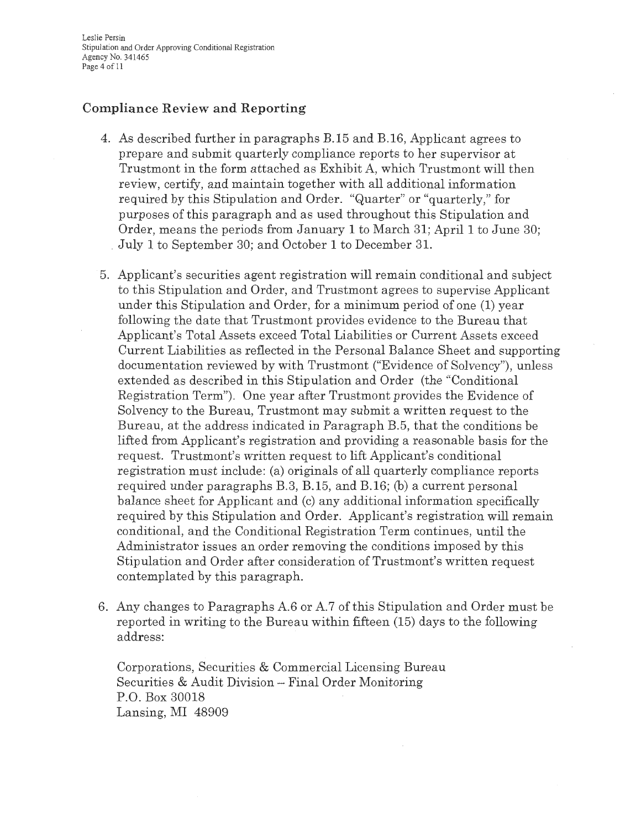Leslie Persin Stipulation and Order Approving Conditional Registration Agency No. 341465 Page 4 of 11

## **Compliance Review and Reporting**

- 4. As described further in paragraphs B.15 and B.16, Applicant agrees to prepare and submit quarterly compliance reports to her supervisor at Trustmont in the form attached as Exhibit A, which Trustmont will then review, certify, and maintain together with all additional information required by this Stipulation and Order. "Quarter" or "quarterly," for purposes of this paragraph and as used throughout this Stipulation and Order, means the periods from January 1 to March 31; April 1 to June 30; \_ July 1 to September 30; and October 1 to December 31.
- 5. Applicant's securities agent registration will remain conditional and subject to this Stipulation and Order, and Trustmont agrees to supervise Applicant under this Stipulation and Order, for a minimum period of one (1) year following the date that Trustmont provides evidence to the Bureau that Applicant's Total Assets exceed Total Liabilities or Current Assets exceed Current Liabilities as reflected in the Personal Balance Sheet and supporting documentation reviewed by with Trustmont ("Evidence of Solvency"), unless extended as described in this Stipulation and Order (the "Conditional Registration Term"). One year after Trustmont provides the Evidence of Solvency to the Bureau, Trustmont may submit a written request to the Bureau, at the address indicated in Paragraph B.5, that the conditions be lifted from Applicant's registration and providing a reasonable basis for the request. Trustmont's written request to lift Applicant's conditional registration must include: (a) originals of all quarterly compliance reports required under paragraphs B.3, B.15, and B.16; (b) a current personal balance sheet for Applicant and (c) any additional information specifically required by this Stipulation and Order. Applicant's registration will remain conditional, and the Conditional Registration Term continues, until the Administrator issues an order removing the conditions imposed by this Stipulation and Order after consideration of Trustmont's written request contemplated by this paragraph.
- 6. Any changes to Paragraphs A.6 or A.7 of this Stipulation and Order must be reported in writing to the Bureau within fifteen (15) days to the following address:

Corporations, Securities & Commercial Licensing Bureau Securities & Audit Division -- Final Order Monitoring P.O. Box 30018 Lansing, MI 48909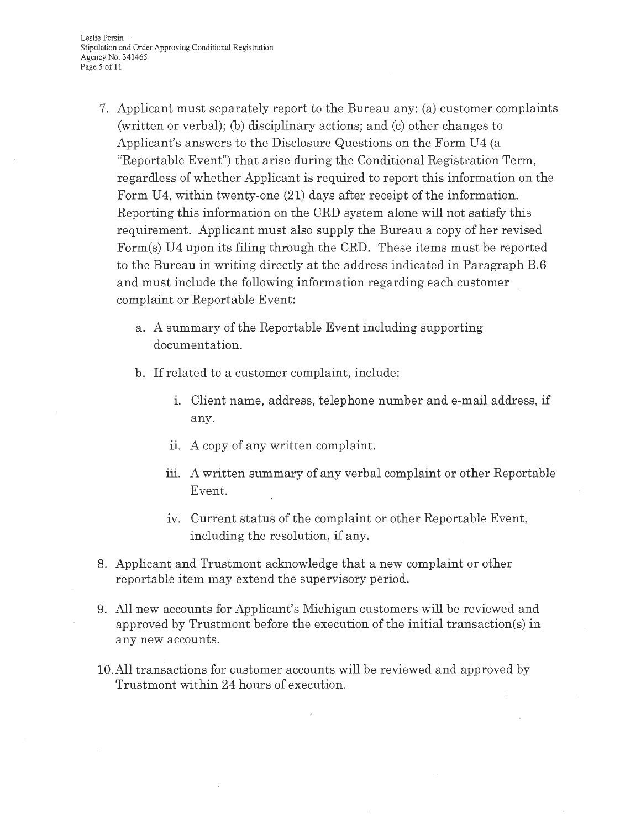Leslie Persin Stipulation and Order Approving Conditional Registration Agency No. 341465 Page 5 of 11

- 7. Applicant must separately report to the Bureau any: (a) customer complaints (written or verbal); (b) disciplinary actions; and (c) other changes to Applicant's answers to the Disclosure Questions on the Form U4 (a "Reportable Event") that arise during the Conditional Registration Term, regardless of whether Applicant is required to report this information on the Form U4, within twenty-one (21) days after receipt of the information. Reporting this information on the CRD system alone will not satisfy this requirement. Applicant must also supply the Bureau a copy of her revised Form(s) U4 upon its filing through the CRD. These items must be reported to the Bureau in writing directly at the address indicated in Paragraph B.6 and must include the following information regarding each customer complaint or Reportable Event:
	- <sup>a</sup> . A summary of the Reportable Event including supporting documentation.
	- b. If related to a customer complaint, include:
		- 1. Client name, address, telephone number and e-mail address, if any.
		- **ii. A copy of any written complaint.**
		- iii. A written summary of any verbal complaint or other Reportable Event.
		- iv. Current status of the complaint or other Reportable Event, including the resolution, if any.
- 8. Applicant and Trustmont acknowledge that a new complaint or other reportable item may extend the supervisory period.
- 9. All new accounts for Applicant's Michigan customers will be reviewed and approved by Trustmont before the execution of the initial transaction(s) in any new accounts.
- 10.All transactions for customer accounts will be reviewed and approved by Trustmont within 24 hours of execution.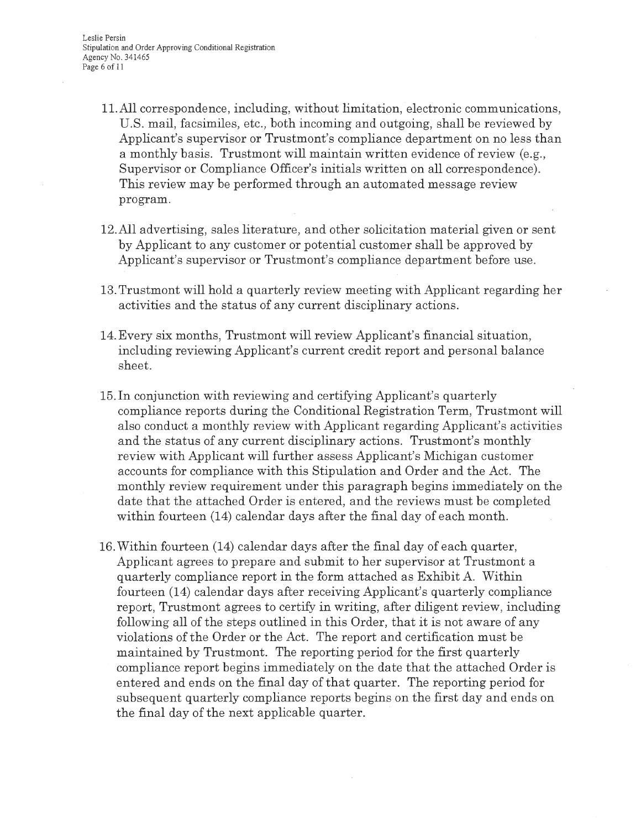- 11.All correspondence, including, without limitation, electronic communications, U.S. mail, facsimiles, etc., both incoming and outgoing, shall be reviewed by Applicant's supervisor or Trustmont's compliance department on no less than a monthly basis. Trustmont will maintain written evidence of review (e.g. , Supervisor or Compliance Officer's initials written on all correspondence). This review may be performed through an automated message review program.
- 12.All advertising, sales literature, and other solicitation material given or sent by Applicant to any customer or potential customer shall be approved by Applicant's supervisor or Trustmont's compliance department before use .
- 13. Trustmont will hold a quarterly review meeting with Applicant regarding her activities and the status of any current disciplinary actions.
- 14. Every six months, Trustmont will review Applicant's financial situation, including reviewing Applicant's current credit report and personal balance sheet.
- 15.In conjunction with reviewing and certifying Applicant's quarterly compliance reports during the Conditional Registration Term, Trustmont will also conduct a monthly review with Applicant regarding Applicant's activities and the status of any current disciplinary actions. Trustmont's monthly review with Applicant will further assess Applicant's Michigan customer accounts for compliance with this Stipulation and Order and the Act. The monthly review requirement under this paragraph begins immediately on the date that the attached Order is entered, and the reviews must be completed within fourteen (14) calendar days after the final day of each month.
- 16. Within fourteen (14) calendar days after the final day of each quarter, Applicant agrees to prepare and submit to her supervisor at Trustmont a quarterly compliance report in the form attached as Exhibit A. Within fourteen (14) calendar days after receiving Applicant's quarterly compliance report, Trustmont agrees to certify in writing, after diligent review, including following all of the steps outlined in this Order, that it is not aware of any violations of the Order or the Act. The report and certification must be maintained by Trustmont. The reporting period for the first quarterly compliance report begins immediately on the date that the attached Order is entered and ends on the final day of that quarter. The reporting period for subsequent quarterly compliance reports begins on the first day and ends on the final day of the next applicable quarter.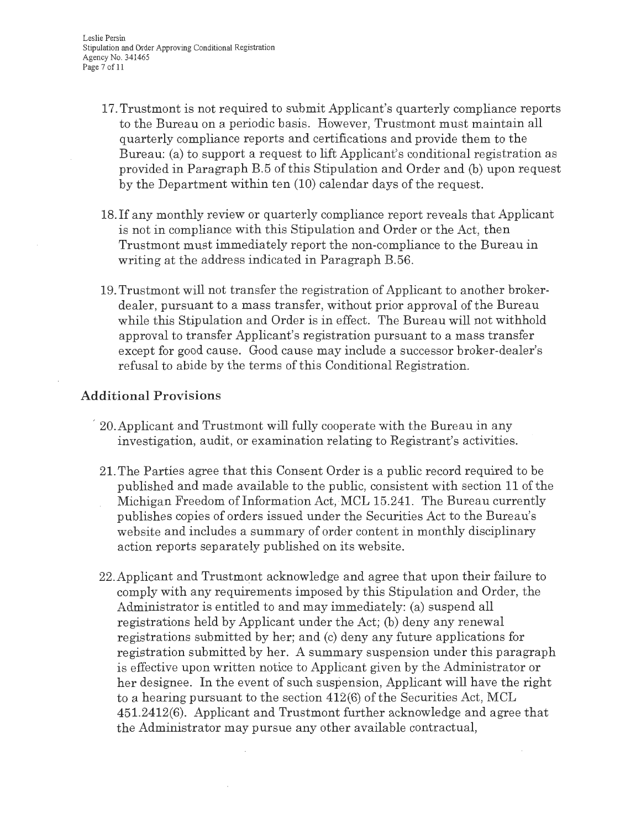Leslie Persin Stipulation and Order Approving Conditional Registration Agency No. 341465 Page 7 of 11

- 17. Trustmont is not required to submit Applicant's quarterly compliance reports to the Bureau on a periodic basis. However, Trustmont must maintain all quarterly compliance reports and certifications and provide them to the Bureau: (a) to support a request to lift Applicant's conditional registration as provided in Paragraph B.5 of this Stipulation and Order and (b) upon request by the Department within ten (10) calendar days of the request.
- 18. If any monthly review or quarterly compliance report reveals that Applicant is not in compliance with this Stipulation and Order or the Act, then Trustmont must immediately report the non-compliance to the Bureau in writing at the address indicated in Paragraph B.56.
- 19. Trustmont will not transfer the registration of Applicant to another brokerdealer, pursuant to a mass transfer, without prior approval of the Bureau while this Stipulation and Order is in effect. The Bureau will not withhold approval to transfer Applicant's registration pursuant to a mass transfer except for good cause. Good cause may include a successor broker-dealer's refusal to abide by the terms of this Conditional Registration.

### **Additional Provisions**

- , 20.Applicant and Trustmont will fully cooperate with the Bureau in any investigation, audit, or examination relating to Registrant's activities.
- 21. The Parties agree that this Consent Order is a public record required to be published and made available to the public, consistent with section 11 of the Michigan Freedom of Information Act, MCL 15.241. The Bureau currently publishes copies of orders issued under the Securities Act to the Bureau's website and includes a summary of order content in monthly disciplinary action reports separately published on its website.
- 22.Applicant and Trustmont acknowledge and agree that upon their failure to comply with any requirements imposed by this Stipulation and Order, the Administrator is entitled to and may immediately: (a) suspend all registrations held by Applicant under the Act; (b) deny any renewal registrations submitted by her; and (c) deny any future applications for registration submitted by her. A summary suspension under this paragraph is effective upon written notice to Applicant given by the Administrator or her designee. In the event of such suspension, Applicant will have the right to a hearing pursuant to the section 412(6) of the Securities Act, MCL 451.2412(6). Applicant and Trustmont further acknowledge and agree that the Administrator may pursue any other available contractual,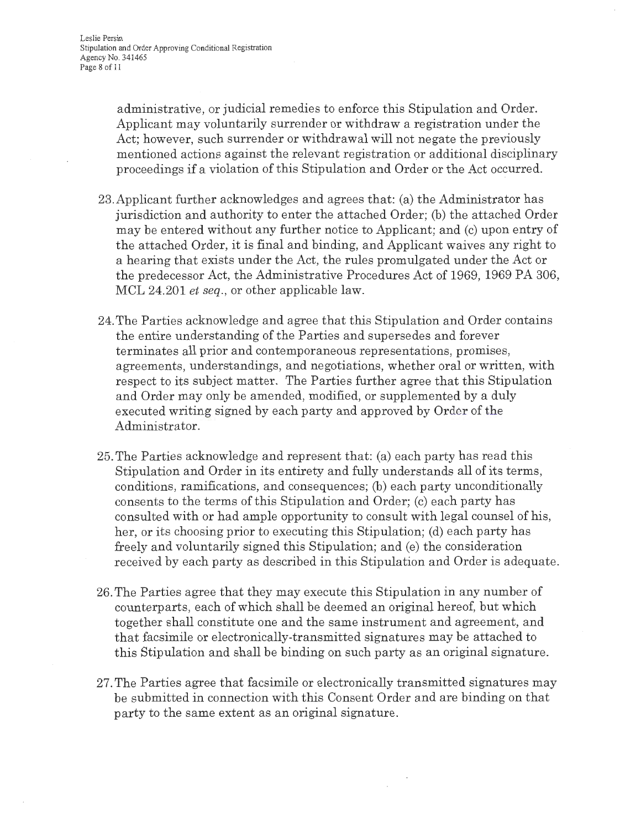administrative, or judicial remedies to enforce this Stipulation and Order. Applicant may voluntarily surrender or withdraw a registration under the Act; however, such surrender or withdrawal will not negate the previously mentioned actions against the relevant registration or additional disciplinary proceedings if a violation of this Stipulation and Order or the Act occurred.

- 23.Applicant further acknowledges and agrees that: (a) the Administrator has jurisdiction and authority to enter the attached Order; (b) the attached Order may be entered without any further notice to Applicant; and (c) upon entry of the attached Order, it is final and binding, and Applicant waives any right to a hearing that exists under the Act, the rules promulgated under the Act or the predecessor Act, the Administrative Procedures Act of 1969, 1969 PA 306, MCL 24.201 *et seq.,* or other applicable law.
- 24. The Parties acknowledge and agree that this Stipulation and Order contains the entire understanding of the Parties and supersedes and forever terminates all prior and contemporaneous representations, promises, agreements, understandings, and negotiations, whether oral or written, with respect to its subject matter. The Parties further agree that this Stipulation and Order may only be amended, modified, or supplemented by a duly executed writing signed by each party and approved by Order of the Administrator.
- 25. The Parties acknowledge and represent that: (a) each party has read this Stipulation and Order in its entirety and fully understands all of its terms, conditions, ramifications, and consequences; (b) each party unconditionally consents to the terms of this Stipulation and Order; (c) each party has consulted with or had ample opportunity to consult with legal counsel of his, her, or its choosing prior to executing this Stipulation; (d) each party has freely and voluntarily signed this Stipulation; and (e) the consideration received by each party as described in this Stipulation and Order is adequate.
- 26. The Parties agree that they may execute this Stipulation in any number of counterparts, each of which shall be deemed an original hereof, but which together shall constitute one and the same instrument and agreement, and that facsimile or electronically-transmitted signatures may be attached to this Stipulation and shall be binding on such party as an original signature.
- 27. The Parties agree that facsimile or electronically transmitted signatures may be submitted in connection with this Consent Order and are binding on that party to the same extent as an original signature.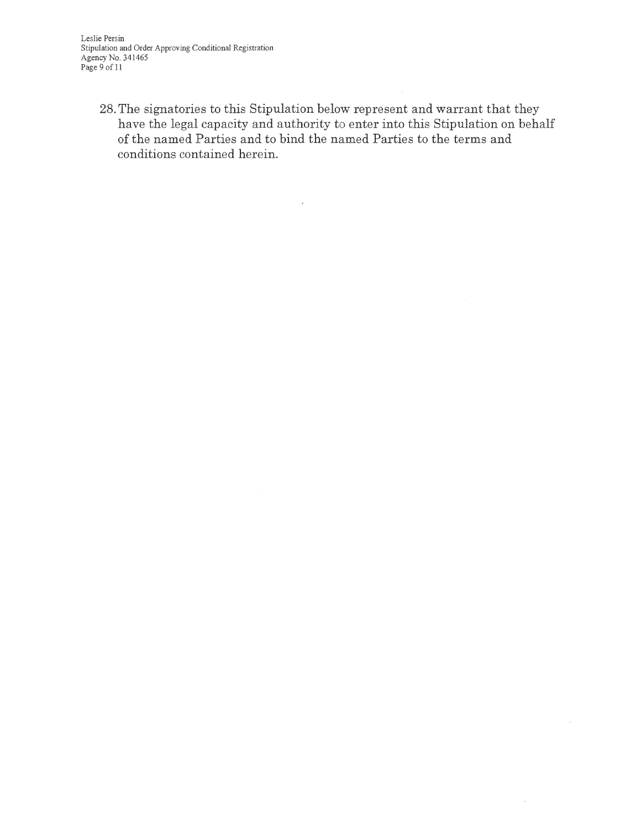Leslie Persin Stipulation and Order Approving Conditional Registration Agency No. 341465 Page 9 of 11

28. The signatories to this Stipulation below represent and warrant that they have the legal capacity and authority to enter into this Stipulation on behalf of the named Parties and to bind the named Parties to the terms and conditions contained herein.

 $\hat{\boldsymbol{\beta}}$ 

 $\bar{\nu}$ 

 $\overline{\phantom{a}}$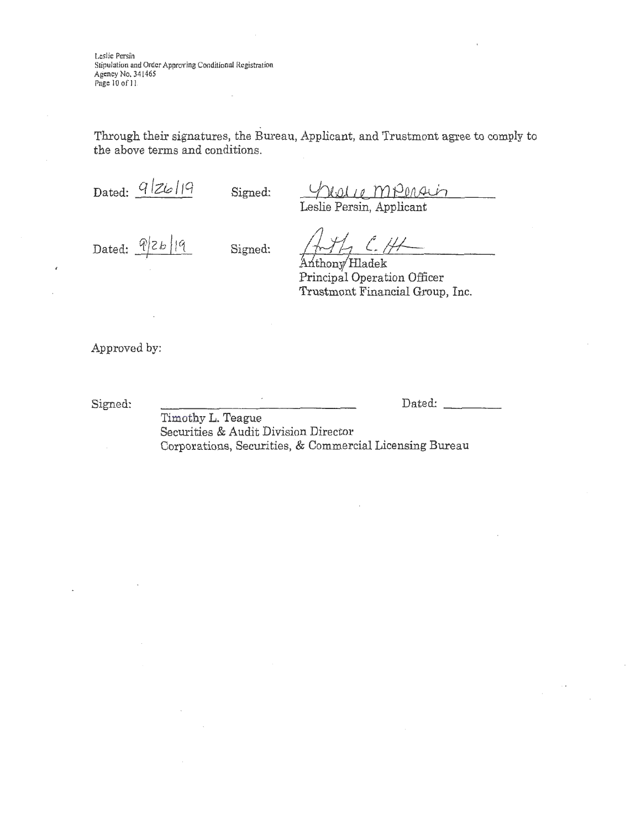Leslie Persih Stipulation and Order Approving Conditional Registration Agency No. 341465 Page 10 of 11

Through their signatures, the Bureau, Applicant, and Trustmont agree to comply to the above terms and conditions.

Dated:  $\frac{q}{z}$  | 7 | Signed:

Leslie Persin, Applicant

Dated:  $\frac{q}{z}b|q$  Signed:

 $LCH$ Anthony Hladek

Principal Operation Officer Trustmont Financial Group, Inc.

Approved by:

Signed:

Dated:

Timothy L. Teague Securities & Audit Division Director Corporations, Securities, & Commercial Licensing Bureau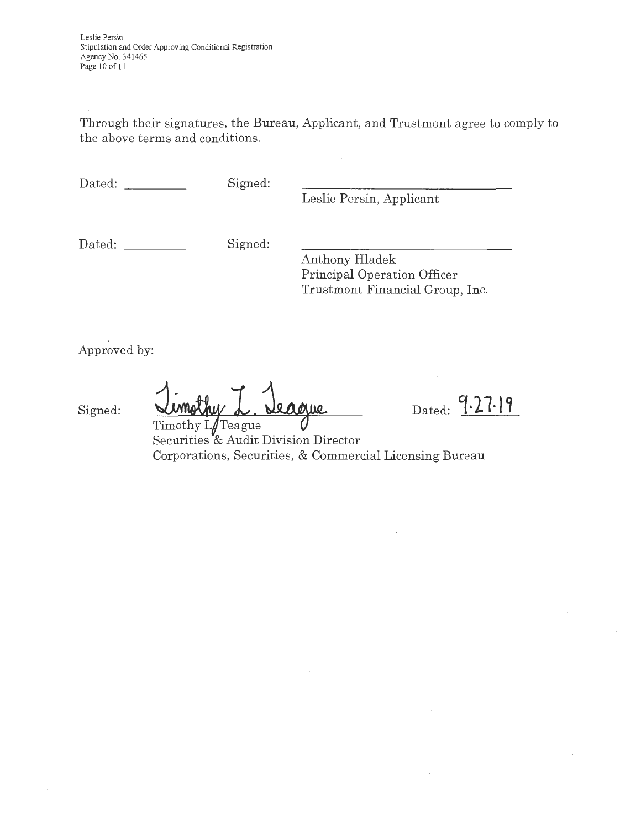Through their signatures, the Bureau, Applicant, and Trustmont agree to comply to the above terms and conditions.

Dated: Signed:

Leslie Persin, Applicant

Dated: Signed:

Anthony Hladek Principal Operation Officer Trustmont Financial Group, Inc.

Approved by:

Signed:

eague Timothy  $L/T$ eague

Dated: 9.27.19

Securities & Audit Division Director Corporations, Securities, & Commercial Licensing Bureau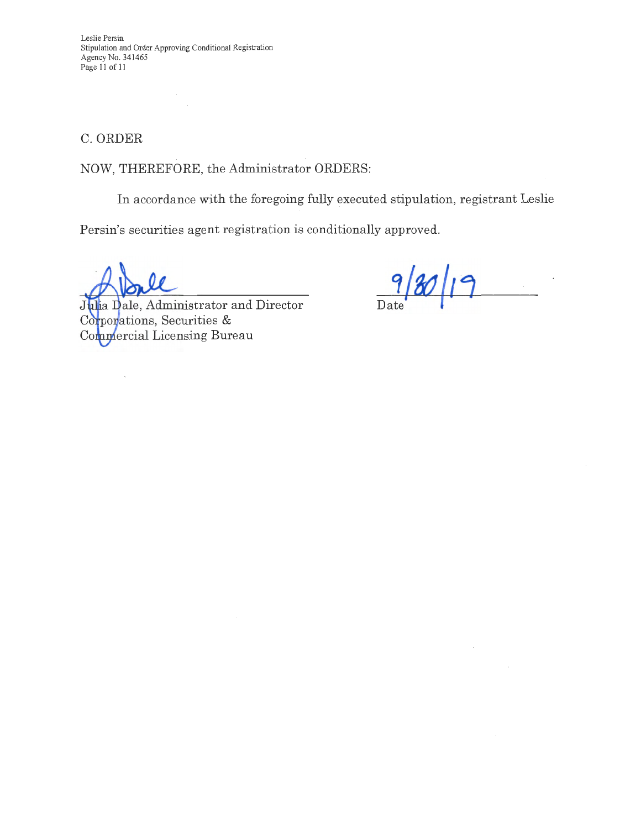Leslie Persin Stipulation and Order Approving Conditional Registration Agency No. 341465 Page 11 of 11

C. ORDER

NOW, THEREFORE, the Administrator ORDERS:

In accordance with the foregoing fully executed stipulation, registrant Leslie

Persin's securities agent registration is conditionally approved.

Julia Dale, Administrator and Director Corporations, Securities & Complercial Licensing Bureau

Date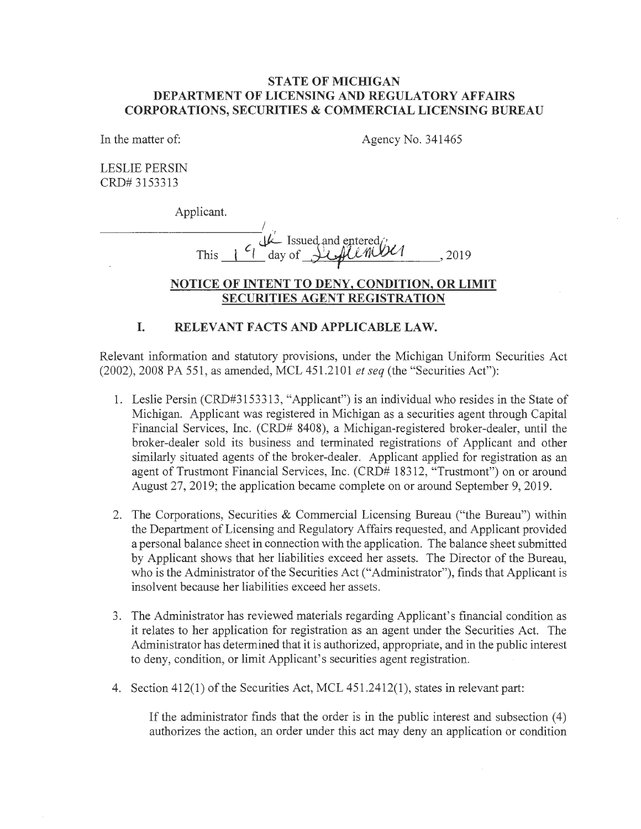#### **STATE OF MICHIGAN DEPARTMENT OF LICENSING AND REGULATORY AFFAIRS CORPORATIONS, SECURITIES & COMMERCIAL LICENSING BUREAU**

In the matter of:

Agency No. 341465

LESLIE PERSIN CRD# 3153313

Applicant.

I  $\mathcal{A}$   $\mathcal{L}$  Issued and entered  $\mathcal{A}$ This  $\frac{1}{1}$  day of  $\frac{1}{2}$ ,  $\frac{1}{2019}$ , 2019

### **NOTICE OF INTENT TO DENY, CONDITION, OR LIMIT SECURITIES AGENT REGISTRATION**

#### **I. RELEVANT FACTS AND APPLICABLE LAW.**

Relevant information and statutory provisions, under the Michigan Uniform Securities Act (2002), 2008 PA 551, as amended, MCL 451.2101 *et seq* (the "Securities Act"):

- 1. Leslie Persin (CRD#3153313, "Applicant") is an individual who resides in the State of Michigan. Applicant was registered in Michigan as a securities agent through Capital Financial Services, Inc. (CRD# 8408), a Michigan-registered broker-dealer, until the broker-dealer sold its business and terminated registrations of Applicant and other similarly situated agents of the broker-dealer. Applicant applied for registration as an agent of Trustmont Financial Services, Inc. (CRD# 18312, "Trustmont") on or around August 27, 2019; the application became complete on or around September 9, 2019.
- 2. The Corporations, Securities & Commercial Licensing Bureau ("the Bureau") within the Department of Licensing and Regulatory Affairs requested, and Applicant provided a personal balance sheet in connection with the application. The balance sheet submitted by Applicant shows that her liabilities exceed her assets. The Director of the Bureau, who is the Administrator of the Securities Act ("Administrator"), finds that Applicant is insolvent because her liabilities exceed her assets.
- 3. The Administrator has reviewed materials regarding Applicant's financial condition as it relates to her application for registration as an agent under the Securities Act. The Administrator has determined that it is authorized, appropriate, and in the public interest to deny, condition, or limit Applicant's securities agent registration.
- 4. Section 412(1) of the Securities Act, MCL 451.2412(1 ), states in relevant part:

If the administrator finds that the order is in the public interest and subsection  $(4)$ authorizes the action, an order under this act may deny an application or condition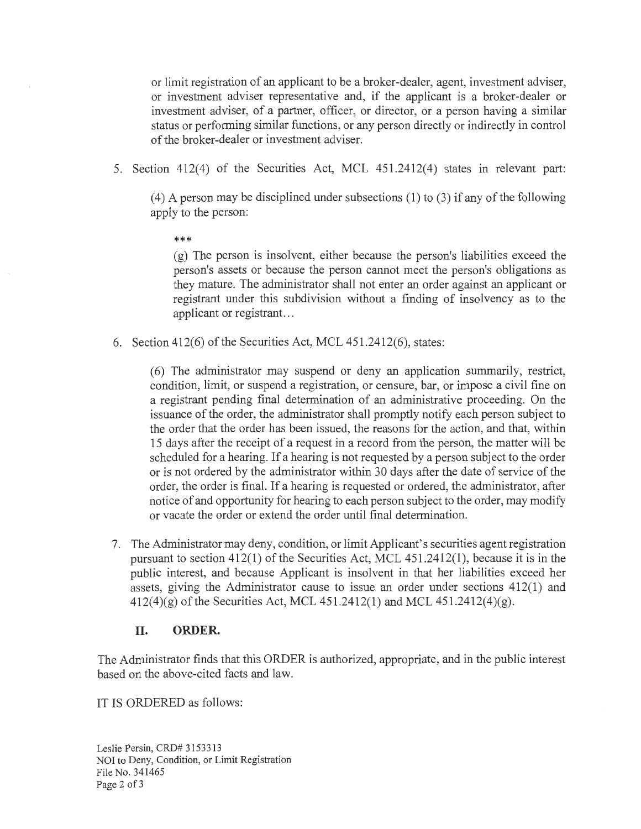or limit registration of an applicant to be a broker-dealer, agent, investment adviser, or investment adviser representative and, if the applicant is a broker-dealer or investment adviser, of a partner, officer, or director, or a person having a similar status or performing similar functions, or any person directly or indirectly in control of the broker-dealer or investment adviser.

5. Section 412(4) of the Securities Act, MCL 451.2412(4) states in relevant part:

 $(4)$  A person may be disciplined under subsections  $(1)$  to  $(3)$  if any of the following apply to the person:

\*\*\*

(g) The person is insolvent, either because the person's liabilities exceed the person's assets or because the person cannot meet the person's obligations as they mature. The administrator shall not enter an order against an applicant or registrant under this subdivision without a finding of insolvency as to the applicant or registrant...

6. Section 412(6) of the Securities Act, MCL 451.2412(6), states:

(6) The administrator may suspend or deny an application summarily, restrict, condition, limit, or suspend a registration, or censure, bar, or impose a civil fine on a registrant pending final determination of an administrative proceeding. On the issuance of the order, the administrator shall promptly notify each person subject to the order that the order has been issued, the reasons for the action, and that, within 15 days after the receipt of a request in a record from the person, the matter will be scheduled for a hearing. If a hearing is not requested by a person subject to the order or is not ordered by the administrator within 30 days after the date of service of the order, the order is final. If a hearing is requested or ordered, the administrator, after notice of and opportunity for hearing to each person subject to the order, may modify or vacate the order or extend the order until final determination.

7. The Administrator may deny, condition, or limit Applicant's securities agent registration pursuant to section 412(1) of the Securities Act, MCL 451.2412(1), because it is in the public interest, and because Applicant is insolvent in that her liabilities exceed her assets, giving the Administrator cause to issue an order under sections 412(1) and  $412(4)(g)$  of the Securities Act, MCL  $451.2412(1)$  and MCL  $451.2412(4)(g)$ .

## **II. ORDER.**

The Administrator finds that this ORDER is authorized, appropriate, and in the public interest based on the above-cited facts and law.

IT IS ORDERED as follows:

Leslie Persin, CRD# 3153313 NOI to Deny, Condition, or Limit Registration File No. 341465 Page 2 of 3